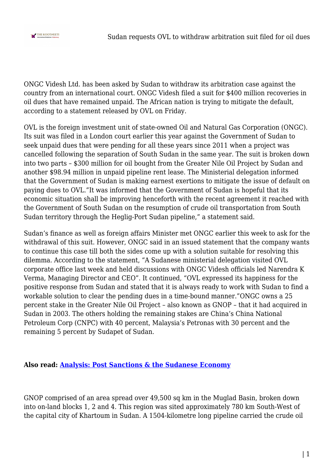

ONGC Videsh Ltd. has been asked by Sudan to withdraw its arbitration case against the country from an international court. ONGC Videsh filed a suit for \$400 million recoveries in oil dues that have remained unpaid. The African nation is trying to mitigate the default, according to a statement released by OVL on Friday.

OVL is the foreign investment unit of state-owned Oil and Natural Gas Corporation (ONGC). Its suit was filed in a London court earlier this year against the Government of Sudan to seek unpaid dues that were pending for all these years since 2011 when a project was cancelled following the separation of South Sudan in the same year. The suit is broken down into two parts – \$300 million for oil bought from the Greater Nile Oil Project by Sudan and another \$98.94 million in unpaid pipeline rent lease. The Ministerial delegation informed that the Government of Sudan is making earnest exertions to mitigate the issue of default on paying dues to OVL."It was informed that the Government of Sudan is hopeful that its economic situation shall be improving henceforth with the recent agreement it reached with the Government of South Sudan on the resumption of crude oil transportation from South Sudan territory through the Heglig-Port Sudan pipeline," a statement said.

Sudan's finance as well as foreign affairs Minister met ONGC earlier this week to ask for the withdrawal of this suit. However, ONGC said in an issued statement that the company wants to continue this case till both the sides come up with a solution suitable for resolving this dilemma. According to the statement, "A Sudanese ministerial delegation visited OVL corporate office last week and held discussions with ONGC Videsh officials led Narendra K Verma, Managing Director and CEO". It continued, "OVL expressed its happiness for the positive response from Sudan and stated that it is always ready to work with Sudan to find a workable solution to clear the pending dues in a time-bound manner."ONGC owns a 25 percent stake in the Greater Nile Oil Project – also known as GNOP – that it had acquired in Sudan in 2003. The others holding the remaining stakes are China's China National Petroleum Corp (CNPC) with 40 percent, Malaysia's Petronas with 30 percent and the remaining 5 percent by Sudapet of Sudan.

## **Also read: [Analysis: Post Sanctions & the Sudanese Economy](http://www.thekootneeti.com/analysis-post-sanctions-the-sudanese-economy/)**

GNOP comprised of an area spread over 49,500 sq km in the Muglad Basin, broken down into on-land blocks 1, 2 and 4. This region was sited approximately 780 km South-West of the capital city of Khartoum in Sudan. A 1504-kilometre long pipeline carried the crude oil